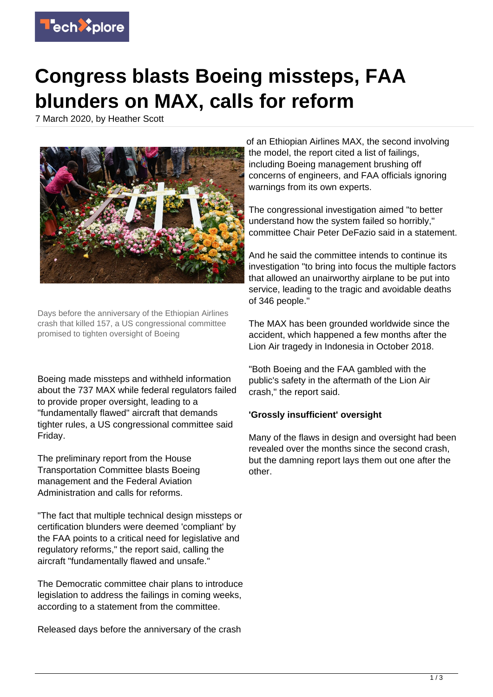

## **Congress blasts Boeing missteps, FAA blunders on MAX, calls for reform**

7 March 2020, by Heather Scott



Days before the anniversary of the Ethiopian Airlines crash that killed 157, a US congressional committee promised to tighten oversight of Boeing

Boeing made missteps and withheld information about the 737 MAX while federal regulators failed to provide proper oversight, leading to a "fundamentally flawed" aircraft that demands tighter rules, a US congressional committee said Friday.

The preliminary report from the House Transportation Committee blasts Boeing management and the Federal Aviation Administration and calls for reforms.

"The fact that multiple technical design missteps or certification blunders were deemed 'compliant' by the FAA points to a critical need for legislative and regulatory reforms," the report said, calling the aircraft "fundamentally flawed and unsafe."

The Democratic committee chair plans to introduce legislation to address the failings in coming weeks, according to a statement from the committee.

Released days before the anniversary of the crash

of an Ethiopian Airlines MAX, the second involving the model, the report cited a list of failings, including Boeing management brushing off concerns of engineers, and FAA officials ignoring warnings from its own experts.

The congressional investigation aimed "to better understand how the system failed so horribly," committee Chair Peter DeFazio said in a statement.

And he said the committee intends to continue its investigation "to bring into focus the multiple factors that allowed an unairworthy airplane to be put into service, leading to the tragic and avoidable deaths of 346 people."

The MAX has been grounded worldwide since the accident, which happened a few months after the Lion Air tragedy in Indonesia in October 2018.

"Both Boeing and the FAA gambled with the public's safety in the aftermath of the Lion Air crash," the report said.

## **'Grossly insufficient' oversight**

Many of the flaws in design and oversight had been revealed over the months since the second crash, but the damning report lays them out one after the other.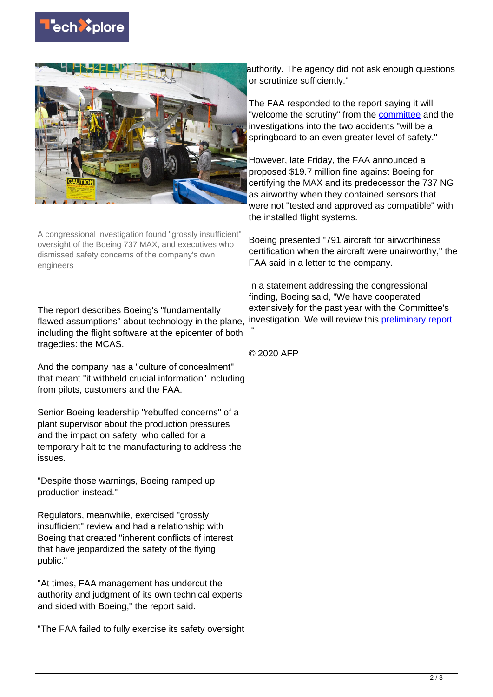



A congressional investigation found "grossly insufficient" oversight of the Boeing 737 MAX, and executives who dismissed safety concerns of the company's own engineers

The report describes Boeing's "fundamentally flawed assumptions" about technology in the plane, including the flight software at the epicenter of both ." tragedies: the MCAS.

And the company has a "culture of concealment" that meant "it withheld crucial information" including from pilots, customers and the FAA.

Senior Boeing leadership "rebuffed concerns" of a plant supervisor about the production pressures and the impact on safety, who called for a temporary halt to the manufacturing to address the issues.

"Despite those warnings, Boeing ramped up production instead."

Regulators, meanwhile, exercised "grossly insufficient" review and had a relationship with Boeing that created "inherent conflicts of interest that have jeopardized the safety of the flying public."

"At times, FAA management has undercut the authority and judgment of its own technical experts and sided with Boeing," the report said.

"The FAA failed to fully exercise its safety oversight

authority. The agency did not ask enough questions or scrutinize sufficiently."

The FAA responded to the report saying it will "welcome the scrutiny" from the [committee](https://techxplore.com/tags/committee/) and the investigations into the two accidents "will be a springboard to an even greater level of safety."

However, late Friday, the FAA announced a proposed \$19.7 million fine against Boeing for certifying the MAX and its predecessor the 737 NG as airworthy when they contained sensors that were not "tested and approved as compatible" with the installed flight systems.

Boeing presented "791 aircraft for airworthiness certification when the aircraft were unairworthy," the FAA said in a letter to the company.

In a statement addressing the congressional finding, Boeing said, "We have cooperated extensively for the past year with the Committee's investigation. We will review this **[preliminary report](https://techxplore.com/tags/preliminary+report/)** 

© 2020 AFP